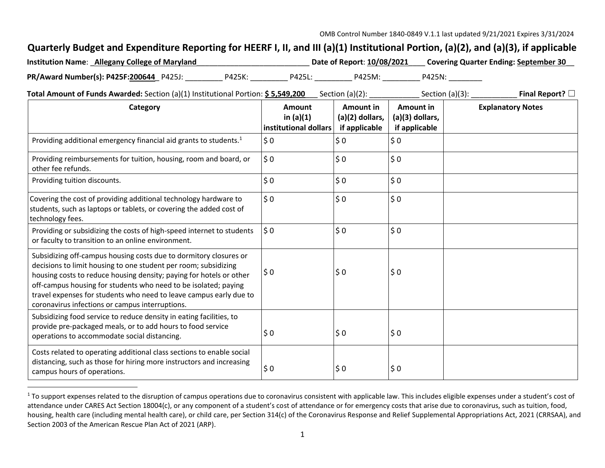## **Quarterly Budget and Expenditure Reporting for HEERF I, II, and III (a)(1) Institutional Portion, (a)(2), and (a)(3), if applicable**

| <b>Institution Name: Allegany College of Maryland</b> |        |        | Date of Report: 10/08/2021 |        | <b>Covering Quarter Ending: September 30</b> |
|-------------------------------------------------------|--------|--------|----------------------------|--------|----------------------------------------------|
| PR/Award Number(s): P425F:200644 P425J:               | P425K: | P425L: | P425M:                     | P425N: |                                              |

**Total Amount of Funds Awarded:** Section (a)(1) Institutional Portion: **\$ 5,549,200** Section (a)(2): \_\_\_\_\_\_\_\_\_\_\_ Section (a)(3): \_\_\_\_\_\_\_\_\_\_\_\_ **Final Report?** □

| Category                                                                                                                                                                                                                                                                                                                                                                                                | Amount<br>in $(a)(1)$<br>institutional dollars | Amount in<br>(a)(2) dollars,<br>if applicable | Amount in<br>(a)(3) dollars,<br>if applicable | <b>Explanatory Notes</b> |
|---------------------------------------------------------------------------------------------------------------------------------------------------------------------------------------------------------------------------------------------------------------------------------------------------------------------------------------------------------------------------------------------------------|------------------------------------------------|-----------------------------------------------|-----------------------------------------------|--------------------------|
| Providing additional emergency financial aid grants to students. <sup>1</sup>                                                                                                                                                                                                                                                                                                                           | $\frac{1}{2}$ 0                                | \$0                                           | \$0                                           |                          |
| Providing reimbursements for tuition, housing, room and board, or<br>other fee refunds.                                                                                                                                                                                                                                                                                                                 | $\frac{1}{2}$ 0                                | \$0                                           | \$0                                           |                          |
| Providing tuition discounts.                                                                                                                                                                                                                                                                                                                                                                            | \$0                                            | \$0                                           | \$0                                           |                          |
| Covering the cost of providing additional technology hardware to<br>students, such as laptops or tablets, or covering the added cost of<br>technology fees.                                                                                                                                                                                                                                             | $\frac{1}{2}$ 0                                | \$0                                           | \$0                                           |                          |
| Providing or subsidizing the costs of high-speed internet to students<br>or faculty to transition to an online environment.                                                                                                                                                                                                                                                                             | $ 50\rangle$                                   | \$0                                           | \$0                                           |                          |
| Subsidizing off-campus housing costs due to dormitory closures or<br>decisions to limit housing to one student per room; subsidizing<br>housing costs to reduce housing density; paying for hotels or other<br>off-campus housing for students who need to be isolated; paying<br>travel expenses for students who need to leave campus early due to<br>coronavirus infections or campus interruptions. | $\frac{1}{2}0$                                 | \$0                                           | \$0                                           |                          |
| Subsidizing food service to reduce density in eating facilities, to<br>provide pre-packaged meals, or to add hours to food service<br>operations to accommodate social distancing.                                                                                                                                                                                                                      | $\sin 0$                                       | \$0                                           | \$0                                           |                          |
| Costs related to operating additional class sections to enable social<br>distancing, such as those for hiring more instructors and increasing<br>campus hours of operations.                                                                                                                                                                                                                            | $\frac{1}{2}$ 0                                | \$0                                           | \$0                                           |                          |
|                                                                                                                                                                                                                                                                                                                                                                                                         |                                                |                                               |                                               |                          |

<sup>&</sup>lt;sup>1</sup> To support expenses related to the disruption of campus operations due to coronavirus consistent with applicable law. This includes eligible expenses under a student's cost of attendance under CARES Act Section 18004(c), or any component of a student's cost of attendance or for emergency costs that arise due to coronavirus, such as tuition, food, housing, health care (including mental health care), or child care, per Section 314(c) of the Coronavirus Response and Relief Supplemental Appropriations Act, 2021 (CRRSAA), and Section 2003 of the American Rescue Plan Act of 2021 (ARP).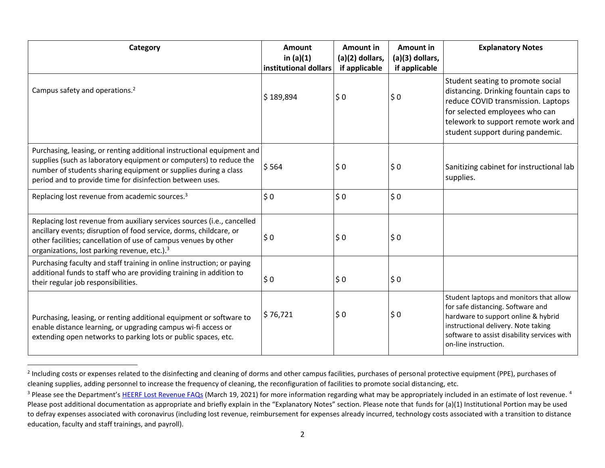| Category                                                                                                                                                                                                                                                                     | Amount<br>in $(a)(1)$<br>institutional dollars | Amount in<br>(a)(2) dollars,<br>if applicable | Amount in<br>(a)(3) dollars,<br>if applicable | <b>Explanatory Notes</b>                                                                                                                                                                                                          |
|------------------------------------------------------------------------------------------------------------------------------------------------------------------------------------------------------------------------------------------------------------------------------|------------------------------------------------|-----------------------------------------------|-----------------------------------------------|-----------------------------------------------------------------------------------------------------------------------------------------------------------------------------------------------------------------------------------|
| Campus safety and operations. <sup>2</sup>                                                                                                                                                                                                                                   | \$189,894                                      | \$0                                           | \$0                                           | Student seating to promote social<br>distancing. Drinking fountain caps to<br>reduce COVID transmission. Laptops<br>for selected employees who can<br>telework to support remote work and<br>student support during pandemic.     |
| Purchasing, leasing, or renting additional instructional equipment and<br>supplies (such as laboratory equipment or computers) to reduce the<br>number of students sharing equipment or supplies during a class<br>period and to provide time for disinfection between uses. | \$564                                          | $\frac{1}{2}$ 0                               | \$0                                           | Sanitizing cabinet for instructional lab<br>supplies.                                                                                                                                                                             |
| Replacing lost revenue from academic sources. <sup>3</sup>                                                                                                                                                                                                                   | \$0                                            | \$0                                           | \$0                                           |                                                                                                                                                                                                                                   |
| Replacing lost revenue from auxiliary services sources (i.e., cancelled<br>ancillary events; disruption of food service, dorms, childcare, or<br>other facilities; cancellation of use of campus venues by other<br>organizations, lost parking revenue, etc.). <sup>3</sup> | \$0                                            | $\frac{1}{2}$ 0                               | \$0                                           |                                                                                                                                                                                                                                   |
| Purchasing faculty and staff training in online instruction; or paying<br>additional funds to staff who are providing training in addition to<br>their regular job responsibilities.                                                                                         | \$0                                            | $\frac{1}{2}$ 0                               | \$0                                           |                                                                                                                                                                                                                                   |
| Purchasing, leasing, or renting additional equipment or software to<br>enable distance learning, or upgrading campus wi-fi access or<br>extending open networks to parking lots or public spaces, etc.                                                                       | \$76,721                                       | $\frac{1}{2}$ 0                               | \$0                                           | Student laptops and monitors that allow<br>for safe distancing. Software and<br>hardware to support online & hybrid<br>instructional delivery. Note taking<br>software to assist disability services with<br>on-line instruction. |

<sup>&</sup>lt;sup>2</sup> Including costs or expenses related to the disinfecting and cleaning of dorms and other campus facilities, purchases of personal protective equipment (PPE), purchases of cleaning supplies, adding personnel to increase the frequency of cleaning, the reconfiguration of facilities to promote social distancing, etc.

 $\overline{a}$ 

<sup>&</sup>lt;sup>3</sup> Please see the Department's HEERF Lost Revenue FAQs (March 19, 2021) for more information regarding what may be appropriately included in an estimate of lost revenue.<sup>4</sup> Please post additional documentation as appropriate and briefly explain in the "Explanatory Notes" section. Please note that funds for (a)(1) Institutional Portion may be used to defray expenses associated with coronavirus (including lost revenue, reimbursement for expenses already incurred, technology costs associated with a transition to distance education, faculty and staff trainings, and payroll).